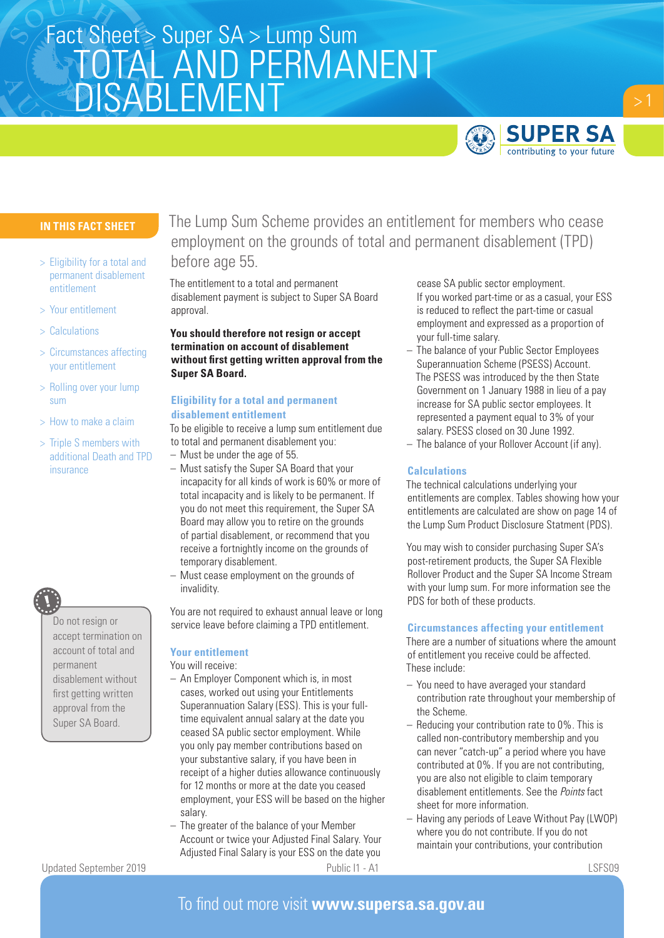# TOTAL AND PERMANENT DISABLEMENT Fact Sheet > Super SA > Lump Sum



# **IN THIS FACT SHEET**

- > Eligibility for a total and permanent disablement entitlement
- > Your entitlement
- > Calculations
- > Circumstances affecting your entitlement
- > Rolling over your lump sum
- > How to make a claim
- > Triple S members with additional Death and TPD insurance

Do not resign or accept termination on account of total and permanent disablement without first getting written approval from the Super SA Board.

# The Lump Sum Scheme provides an entitlement for members who cease employment on the grounds of total and permanent disablement (TPD) before age 55.

The entitlement to a total and permanent disablement payment is subject to Super SA Board approval.

# **You should therefore not resign or accept termination on account of disablement without first getting written approval from the Super SA Board.**

## **Eligibility for a total and permanent disablement entitlement**

To be eligible to receive a lump sum entitlement due to total and permanent disablement you:

- Must be under the age of 55.
- Must satisfy the Super SA Board that your incapacity for all kinds of work is 60% or more of total incapacity and is likely to be permanent. If you do not meet this requirement, the Super SA Board may allow you to retire on the grounds of partial disablement, or recommend that you receive a fortnightly income on the grounds of temporary disablement.
- Must cease employment on the grounds of invalidity.

You are not required to exhaust annual leave or long service leave before claiming a TPD entitlement.

# **Your entitlement**

You will receive:

- An Employer Component which is, in most cases, worked out using your Entitlements Superannuation Salary (ESS). This is your fulltime equivalent annual salary at the date you ceased SA public sector employment. While you only pay member contributions based on your substantive salary, if you have been in receipt of a higher duties allowance continuously for 12 months or more at the date you ceased employment, your ESS will be based on the higher salary.
- The greater of the balance of your Member Account or twice your Adjusted Final Salary. Your Adjusted Final Salary is your ESS on the date you

cease SA public sector employment. If you worked part-time or as a casual, your ESS is reduced to reflect the part-time or casual employment and expressed as a proportion of your full-time salary.

- The balance of your Public Sector Employees Superannuation Scheme (PSESS) Account. The PSESS was introduced by the then State Government on 1 January 1988 in lieu of a pay increase for SA public sector employees. It represented a payment equal to 3% of your salary. PSESS closed on 30 June 1992.
- The balance of your Rollover Account (if any).

#### **Calculations**

The technical calculations underlying your entitlements are complex. Tables showing how your entitlements are calculated are show on page 14 of the Lump Sum Product Disclosure Statment (PDS).

You may wish to consider purchasing Super SA's post-retirement products, the Super SA Flexible Rollover Product and the Super SA Income Stream with your lump sum. For more information see the PDS for both of these products.

#### **Circumstances affecting your entitlement**

There are a number of situations where the amount of entitlement you receive could be affected. These include:

- You need to have averaged your standard contribution rate throughout your membership of the Scheme.
- Reducing your contribution rate to 0%. This is called non-contributory membership and you can never "catch-up" a period where you have contributed at 0%. If you are not contributing, you are also not eligible to claim temporary disablement entitlements. See the *Points* fact sheet for more information.
- Having any periods of Leave Without Pay (LWOP) where you do not contribute. If you do not maintain your contributions, your contribution